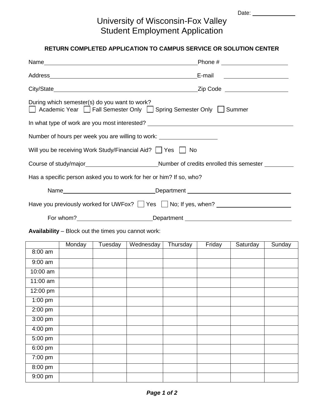Date:

## University of Wisconsin-Fox Valley Student Employment Application

## **RETURN COMPLETED APPLICATION TO CAMPUS SERVICE OR SOLUTION CENTER**

|           |                                               |                                                                                                                                                                                                                                |          |        | Phone # $\qquad \qquad$       |        |
|-----------|-----------------------------------------------|--------------------------------------------------------------------------------------------------------------------------------------------------------------------------------------------------------------------------------|----------|--------|-------------------------------|--------|
|           |                                               | Address Address Address Address Address Address Address Address Address Address Address Address Address Address Address Address Address Address Address Address Address Address Address Address Address Address Address Addres |          |        | E-mail ______________________ |        |
|           |                                               |                                                                                                                                                                                                                                |          |        |                               |        |
|           | During which semester(s) do you want to work? | △ Academic Year △ Fall Semester Only △ Spring Semester Only △ Summer                                                                                                                                                           |          |        |                               |        |
|           |                                               | In what type of work are you most interested? __________________________________                                                                                                                                               |          |        |                               |        |
|           |                                               | Number of hours per week you are willing to work: ______________________________                                                                                                                                               |          |        |                               |        |
|           |                                               | Will you be receiving Work Study/Financial Aid?   Yes   No                                                                                                                                                                     |          |        |                               |        |
|           |                                               |                                                                                                                                                                                                                                |          |        |                               |        |
|           |                                               | Has a specific person asked you to work for her or him? If so, who?                                                                                                                                                            |          |        |                               |        |
|           |                                               | Name__________________________________Department _______________________________                                                                                                                                               |          |        |                               |        |
|           |                                               | Have you previously worked for UWFox?   Yes No; If yes, when? __________________                                                                                                                                               |          |        |                               |        |
|           |                                               | For whom?_____________________________Department _______________________________                                                                                                                                               |          |        |                               |        |
|           |                                               | <b>Availability</b> – Block out the times you cannot work:                                                                                                                                                                     |          |        |                               |        |
|           | Monday                                        | Tuesday   Wednesday                                                                                                                                                                                                            | Thursday | Friday | Saturday                      | Sunday |
| 8:00 am   |                                               |                                                                                                                                                                                                                                |          |        |                               |        |
| $9:00$ am |                                               |                                                                                                                                                                                                                                |          |        |                               |        |

| 10:00 am                     |  |
|------------------------------|--|
|                              |  |
| 11:00 am                     |  |
| 12:00 pm                     |  |
| $\overline{1:}00 \text{ pm}$ |  |
| $2:00 \text{ pm}$            |  |
| $3:00 \text{ pm}$            |  |
| 4:00 pm                      |  |
| 5:00 pm                      |  |
| 6:00 pm                      |  |
| 7:00 pm                      |  |
| $8:00 \text{ pm}$            |  |
| 9:00 pm                      |  |